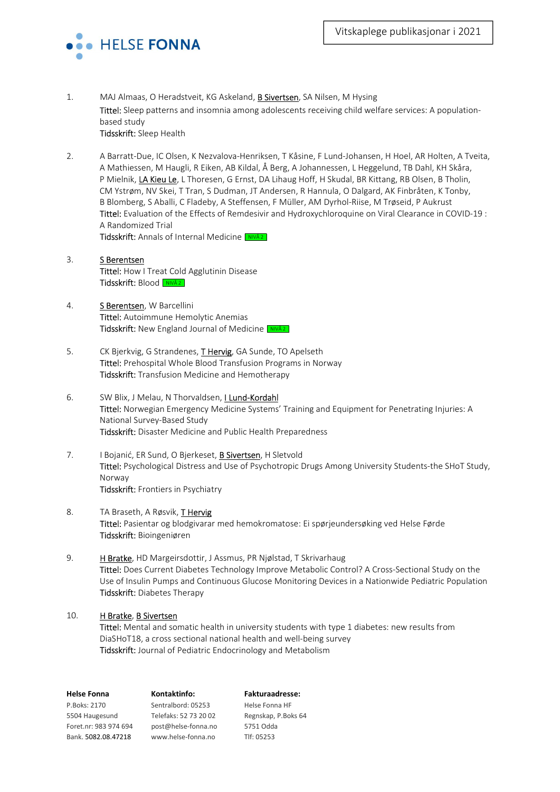

- 1. MAJ Almaas, O Heradstveit, KG Askeland, **B Sivertsen**, SA Nilsen, M Hysing Tittel: Sleep patterns and insomnia among adolescents receiving child welfare services: A populationbased study Tidsskrift: Sleep Health
- 2. A Barratt-Due, IC Olsen, K Nezvalova-Henriksen, T Kåsine, F Lund-Johansen, H Hoel, AR Holten, A Tveita, A Mathiessen, M Haugli, R Eiken, AB Kildal, Å Berg, A Johannessen, L Heggelund, TB Dahl, KH Skåra, P Mielnik, LA Kieu Le, L Thoresen, G Ernst, DA Lihaug Hoff, H Skudal, BR Kittang, RB Olsen, B Tholin, CM Ystrøm, NV Skei, T Tran, S Dudman, JT Andersen, R Hannula, O Dalgard, AK Finbråten, K Tonby, B Blomberg, S Aballi, C Fladeby, A Steffensen, F Müller, AM Dyrhol-Riise, M Trøseid, P Aukrust Tittel: Evaluation of the Effects of Remdesivir and Hydroxychloroquine on Viral Clearance in COVID-19 : A Randomized Trial

Tidsskrift: Annals of Internal Medicine **NIVÅ 2** 

- 3. **S Berentsen** Tittel: How I Treat Cold Agglutinin Disease Tidsskrift: Blood <u>Inivå 2.</u>
- 4. S Berentsen, W Barcellini Tittel: Autoimmune Hemolytic Anemias Tidsskrift: New England Journal of Medicine **MIVA2**
- 5. CK Bjerkvig, G Strandenes, T Hervig, GA Sunde, TO Apelseth Tittel: Prehospital Whole Blood Transfusion Programs in Norway Tidsskrift: Transfusion Medicine and Hemotherapy
- 6. SW Blix, J Melau, N Thorvaldsen, *L Lund-Kordahl* Tittel: Norwegian Emergency Medicine Systems' Training and Equipment for Penetrating Injuries: A National Survey-Based Study Tidsskrift: Disaster Medicine and Public Health Preparedness
- 7. I Bojanić, ER Sund, O Bjerkeset, **B Sivertsen**, H Sletvold Tittel: Psychological Distress and Use of Psychotropic Drugs Among University Students-the SHoT Study, Norway Tidsskrift: Frontiers in Psychiatry
- 8. TA Braseth, A Røsvik, T Hervig Tittel: Pasientar og blodgivarar med hemokromatose: Ei spørjeundersøking ved Helse Førde Tidsskrift: Bioingeniøren
- 9. HBratke, HD Margeirsdottir, J Assmus, PR Njølstad, T Skrivarhaug Tittel: Does Current Diabetes Technology Improve Metabolic Control? A Cross-Sectional Study on the Use of Insulin Pumps and Continuous Glucose Monitoring Devices in a Nationwide Pediatric Population Tidsskrift: Diabetes Therapy

# 10. H Bratke, B Sivertsen

**Tittel:** Mental and somatic health in university students with type 1 diabetes: new results from DiaSHoT18, a cross sectional national health and well-being survey Tidsskrift: Journal of Pediatric Endocrinology and Metabolism

| Kontaktinfo:          | <b>Fakturaadresse:</b> |
|-----------------------|------------------------|
| Sentralbord: 05253    | Helse Fonna HF         |
| Telefaks: 52 73 20 02 | Regnskap, P.Boks 64    |
| post@helse-fonna.no   | 5751 Odda              |
| www.helse-fonna.no    | Tlf: 05253             |
|                       |                        |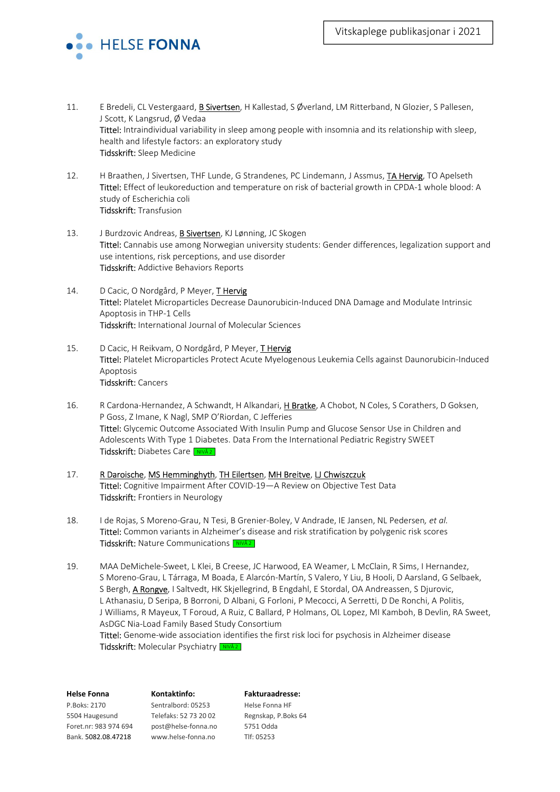

- 11. E Bredeli, CL Vestergaard, B Sivertsen, H Kallestad, S Øverland, LM Ritterband, N Glozier, S Pallesen, J Scott, K Langsrud, Ø Vedaa Tittel: Intraindividual variability in sleep among people with insomnia and its relationship with sleep, health and lifestyle factors: an exploratory study Tidsskrift: Sleep Medicine
- 12. H Braathen, J Sivertsen, THF Lunde, G Strandenes, PC Lindemann, J Assmus, TA Hervig, TO Apelseth Tittel: Effect of leukoreduction and temperature on risk of bacterial growth in CPDA-1 whole blood: A study of Escherichia coli Tidsskrift: Transfusion
- 13. J Burdzovic Andreas, **B Sivertsen**, KJ Lønning, JC Skogen Tittel: Cannabis use among Norwegian university students: Gender differences, legalization support and use intentions, risk perceptions, and use disorder Tidsskrift: Addictive Behaviors Reports
- 14. D Cacic, O Nordgård, P Meyer, T Hervig Tittel: Platelet Microparticles Decrease Daunorubicin-Induced DNA Damage and Modulate Intrinsic Apoptosis in THP-1 Cells Tidsskrift: International Journal of Molecular Sciences
- 15. D Cacic, H Reikvam, O Nordgård, P Meyer, T Hervig Tittel: Platelet Microparticles Protect Acute Myelogenous Leukemia Cells against Daunorubicin-Induced Apoptosis Tidsskrift: Cancers
- 16. R Cardona-Hernandez, A Schwandt, H Alkandari, H Bratke, A Chobot, N Coles, S Corathers, D Goksen, P Goss, Z Imane, K Nagl, SMP O'Riordan, C Jefferies Tittel: Glycemic Outcome Associated With Insulin Pump and Glucose Sensor Use in Children and Adolescents With Type 1 Diabetes. Data From the International Pediatric Registry SWEET Tidsskrift: Diabetes Care NIVA2
- 17. R Daroische, MS Hemminghyth, TH Eilertsen, MH Breitve, LJ Chwiszczuk Tittel: Cognitive Impairment After COVID-19-A Review on Objective Test Data Tidsskrift: Frontiers in Neurology
- 18. I de Rojas, S Moreno-Grau, N Tesi, B Grenier-Boley, V Andrade, IE Jansen, NL Pedersen, et al. Tittel: Common variants in Alzheimer's disease and risk stratification by polygenic risk scores Tidsskrift: Nature Communications **NIVA2**
- 19. MAA DeMichele-Sweet, L Klei, B Creese, JC Harwood, EA Weamer, L McClain, R Sims, I Hernandez, S Moreno-Grau, L Tárraga, M Boada, E Alarcón-Martín, S Valero, Y Liu, B Hooli, D Aarsland, G Selbaek, S Bergh, A Rongve, I Saltvedt, HK Skjellegrind, B Engdahl, E Stordal, OA Andreassen, S Djurovic, L Athanasiu, D Seripa, B Borroni, D Albani, G Forloni, P Mecocci, A Serretti, D De Ronchi, A Politis, J Williams, R Mayeux, T Foroud, A Ruiz, C Ballard, P Holmans, OL Lopez, MI Kamboh, B Devlin, RA Sweet, AsDGC Nia-Load Family Based Study Consortium Tittel: Genome-wide association identifies the first risk loci for psychosis in Alzheimer disease

Tidsskrift: Molecular Psychiatry **NIVÅ 2** 

| <b>Helse Fonna</b>    | Kontaktinfo:          | <b>Fakturaadresse:</b> |
|-----------------------|-----------------------|------------------------|
| P.Boks: 2170          | Sentralbord: 05253    | Helse Fonna HF         |
| 5504 Haugesund        | Telefaks: 52 73 20 02 | Regnskap, P.Boks 64    |
| Foret.nr: 983 974 694 | post@helse-fonna.no   | 5751 Odda              |
| Bank. 5082.08.47218   | www.helse-fonna.no    | Tlf: 05253             |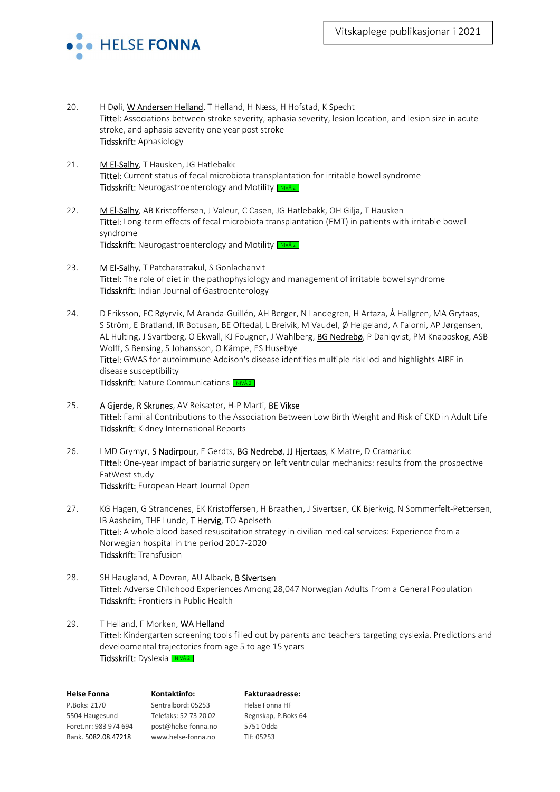

- 20. H Døli, W Andersen Helland, T Helland, H Næss, H Hofstad, K Specht Tittel: Associations between stroke severity, aphasia severity, lesion location, and lesion size in acute stroke, and aphasia severity one year post stroke Tidsskrift: Aphasiology
- 21. M El-Salhy, T Hausken, JG Hatlebakk Tittel: Current status of fecal microbiota transplantation for irritable bowel syndrome Tidsskrift: Neurogastroenterology and Motility **NIVÅ2**
- 22. M El-Salhy, AB Kristoffersen, J Valeur, C Casen, JG Hatlebakk, OH Gilja, T Hausken Tittel: Long-term effects of fecal microbiota transplantation (FMT) in patients with irritable bowel syndrome Tidsskrift: Neurogastroenterology and Motility LNNA2
- 23. MEI-Salhy, T Patcharatrakul, S Gonlachanvit **Tittel:** The role of diet in the pathophysiology and management of irritable bowel syndrome Tidsskrift: Indian Journal of Gastroenterology
- 24. D Eriksson, EC Røyrvik, M Aranda-Guillén, AH Berger, N Landegren, H Artaza, Å Hallgren, MA Grytaas, S Ström, E Bratland, IR Botusan, BE Oftedal, L Breivik, M Vaudel, Ø Helgeland, A Falorni, AP Jørgensen, AL Hulting, J Svartberg, O Ekwall, KJ Fougner, J Wahlberg, BG Nedrebø, P Dahlqvist, PM Knappskog, ASB Wolff, S Bensing, S Johansson, O Kämpe, ES Husebye Tittel: GWAS for autoimmune Addison's disease identifies multiple risk loci and highlights AIRE in disease susceptibility Tidsskrift: Nature Communications **NIVALA 2**
- 25. A Gjerde, R Skrunes, AV Reisæter, H-P Marti, BE Vikse Tittel: Familial Contributions to the Association Between Low Birth Weight and Risk of CKD in Adult Life Tidsskrift: Kidney International Reports
- 26. LMD Grymyr, S Nadirpour, E Gerdts, BG Nedrebø, JJ Hjertaas, K Matre, D Cramariuc Tittel: One-year impact of bariatric surgery on left ventricular mechanics: results from the prospective FatWest study Tidsskrift: European Heart Journal Open
- 27. KG Hagen, G Strandenes, EK Kristoffersen, H Braathen, J Sivertsen, CK Bjerkvig, N Sommerfelt-Pettersen, IB Aasheim, THF Lunde, T Hervig, TO Apelseth Tittel: A whole blood based resuscitation strategy in civilian medical services: Experience from a Norwegian hospital in the period 2017-2020 Tidsskrift: Transfusion
- 28. SH Haugland, A Dovran, AU Albaek, **B Sivertsen** Tittel: Adverse Childhood Experiences Among 28,047 Norwegian Adults From a General Population Tidsskrift: Frontiers in Public Health
- 29. THelland, F Morken, WA Helland Tittel: Kindergarten screening tools filled out by parents and teachers targeting dyslexia. Predictions and developmental trajectories from age 5 to age 15 years Tidsskrift: Dyslexia **LNIVÅ2**

| Kontaktinfo:          | <b>Fakturaadresse:</b> |
|-----------------------|------------------------|
| Sentralbord: 05253    | Helse Fonna HF         |
| Telefaks: 52 73 20 02 | Regnskap, P.Boks 64    |
| post@helse-fonna.no   | 5751 Odda              |
| www.helse-fonna.no    | Tlf: 05253             |
|                       |                        |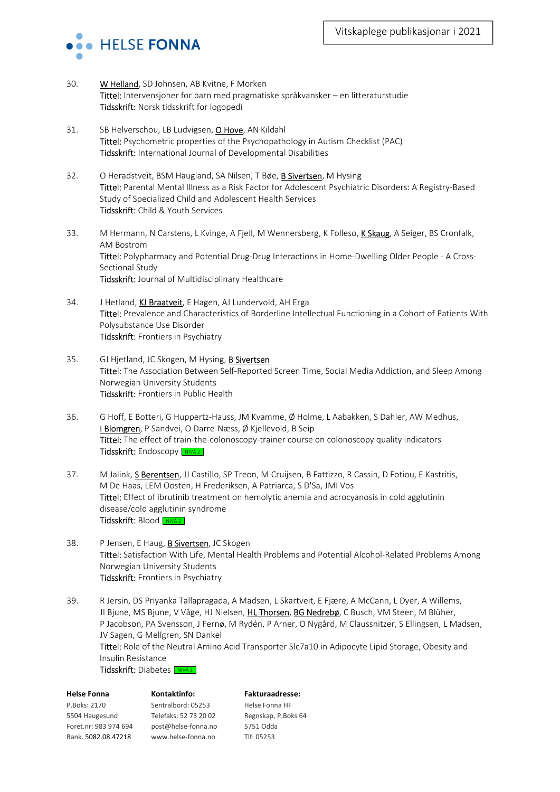

- 30. W Helland, SD Johnsen, AB Kvitne, F Morken Tittel: Intervensjoner for barn med pragmatiske språkvansker – en litteraturstudie Tidsskrift: Norsk tidsskrift for logopedi
- 31. SB Helverschou, LB Ludvigsen, O Hove, AN Kildahl Tittel: Psychometric properties of the Psychopathology in Autism Checklist (PAC) Tidsskrift: International Journal of Developmental Disabilities
- 32. O Heradstveit, BSM Haugland, SA Nilsen, T Bøe, **B Sivertsen**, M Hysing Tittel: Parental Mental Illness as a Risk Factor for Adolescent Psychiatric Disorders: A Registry-Based Study of Specialized Child and Adolescent Health Services Tidsskrift: Child & Youth Services
- 33. M Hermann, N Carstens, L Kvinge, A Fjell, M Wennersberg, K Folleso, K Skaug, A Seiger, BS Cronfalk, AM Bostrom Tittel: Polypharmacy and Potential Drug-Drug Interactions in Home-Dwelling Older People - A Cross-Sectional Study Tidsskrift: Journal of Multidisciplinary Healthcare
- 34. J Hetland, KJ Braatveit, E Hagen, AJ Lundervold, AH Erga Tittel: Prevalence and Characteristics of Borderline Intellectual Functioning in a Cohort of Patients With Polysubstance Use Disorder Tidsskrift: Frontiers in Psychiatry
- 35. GJ Hjetland, JC Skogen, M Hysing, B Sivertsen Tittel: The Association Between Self-Reported Screen Time, Social Media Addiction, and Sleep Among Norwegian University Students Tidsskrift: Frontiers in Public Health
- 36. G Hoff, E Botteri, G Huppertz-Hauss, JM Kvamme, Ø Holme, L Aabakken, S Dahler, AW Medhus, I Blomgren, P Sandvei, O Darre-Næss, Ø Kjellevold, B Seip Tittel: The effect of train-the-colonoscopy-trainer course on colonoscopy quality indicators Tidsskrift: Endoscopy <u>NIVÅ 2.</u>
- 37. M Jalink, S Berentsen, JJ Castillo, SP Treon, M Cruijsen, B Fattizzo, R Cassin, D Fotiou, E Kastritis, M De Haas, LEM Oosten, H Frederiksen, A Patriarca, S D'Sa, JMI Vos Tittel: Effect of ibrutinib treatment on hemolytic anemia and acrocyanosis in cold agglutinin disease/cold agglutinin syndrome Tidsskrift: Blood <u>Enivå 2.</u>
- 38. P Jensen, E Haug, B Sivertsen, JC Skogen Tittel: Satisfaction With Life, Mental Health Problems and Potential Alcohol-Related Problems Among Norwegian University Students Tidsskrift: Frontiers in Psychiatry
- 39. R Jersin, DS Priyanka Tallapragada, A Madsen, L Skartveit, E Fjære, A McCann, L Dyer, A Willems, JI Bjune, MS Bjune, V Våge, HJ Nielsen, HL Thorsen, BG Nedrebø, C Busch, VM Steen, M Blüher, P Jacobson, PA Svensson, J Fernø, M Rydén, P Arner, O Nygård, M Claussnitzer, S Ellingsen, L Madsen, JV Sagen, G Mellgren, SN Dankel Tittel: Role of the Neutral Amino Acid Transporter Slc7a10 in Adipocyte Lipid Storage, Obesity and Insulin Resistance

Tidsskrift: Diabetes **MIVÅ2** 

| <b>Helse Fonna</b>    | Kontaktinfo:          | <b>Fakturaadresse:</b> |
|-----------------------|-----------------------|------------------------|
| P.Boks: 2170          | Sentralbord: 05253    | Helse Fonna HF         |
| 5504 Haugesund        | Telefaks: 52 73 20 02 | Regnskap, P.Boks 64    |
| Foret.nr: 983 974 694 | post@helse-fonna.no   | 5751 Odda              |
| Bank. 5082.08.47218   | www.helse-fonna.no    | Tlf: 05253             |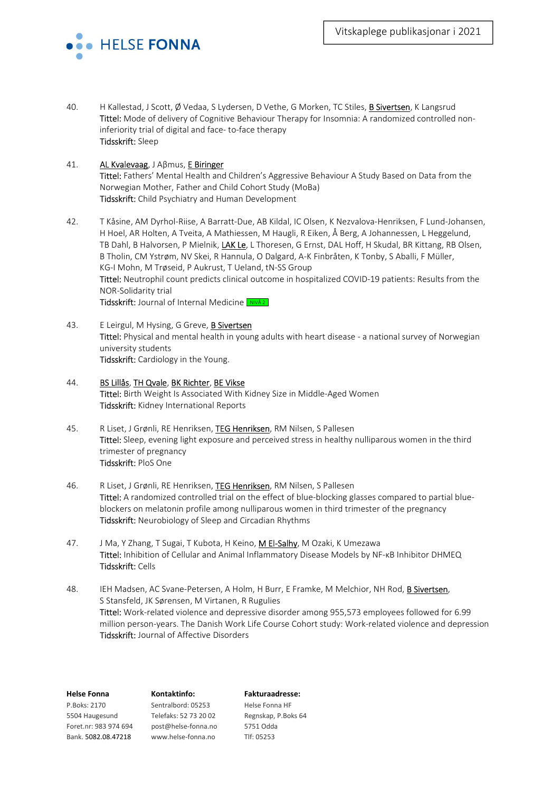

40. H Kallestad, J Scott, Ø Vedaa, S Lydersen, D Vethe, G Morken, TC Stiles, **B Sivertsen**, K Langsrud Tittel: Mode of delivery of Cognitive Behaviour Therapy for Insomnia: A randomized controlled noninferiority trial of digital and face- to-face therapy Tidsskrift: Sleep

## 41. AL Kvalevaag, J Aβmus, E Biringer

Tittel: Fathers' Mental Health and Children's Aggressive Behaviour A Study Based on Data from the Norwegian Mother, Father and Child Cohort Study (MoBa) Tidsskrift: Child Psychiatry and Human Development

- 42. T Kåsine, AM Dyrhol-Riise, A Barratt-Due, AB Kildal, IC Olsen, K Nezvalova-Henriksen, F Lund-Johansen, H Hoel, AR Holten, A Tveita, A Mathiessen, M Haugli, R Eiken, Å Berg, A Johannessen, L Heggelund, TB Dahl, B Halvorsen, P Mielnik, LAK Le, L Thoresen, G Ernst, DAL Hoff, H Skudal, BR Kittang, RB Olsen, B Tholin, CM Ystrøm, NV Skei, R Hannula, O Dalgard, A-K Finbråten, K Tonby, S Aballi, F Müller, KG-I Mohn, M Trøseid, P Aukrust, T Ueland, tN-SS Group Tittel: Neutrophil count predicts clinical outcome in hospitalized COVID-19 patients: Results from the NOR-Solidarity trial Tidsskrift: Journal of Internal Medicine MIVÅ2
- 43. E Leirgul, M Hysing, G Greve, B Sivertsen Tittel: Physical and mental health in young adults with heart disease - a national survey of Norwegian university students Tidsskrift: Cardiology in the Young.
- 44. BS Lillås, TH Qvale, BK Richter, BE Vikse Tittel: Birth Weight Is Associated With Kidney Size in Middle-Aged Women Tidsskrift: Kidney International Reports
- 45. R Liset, J Grønli, RE Henriksen, TEG Henriksen, RM Nilsen, S Pallesen Tittel: Sleep, evening light exposure and perceived stress in healthy nulliparous women in the third trimester of pregnancy Tidsskrift: PloS One
- 46. R Liset, J Grønli, RE Henriksen, TEG Henriksen, RM Nilsen, S Pallesen Tittel: A randomized controlled trial on the effect of blue-blocking glasses compared to partial blueblockers on melatonin profile among nulliparous women in third trimester of the pregnancy Tidsskrift: Neurobiology of Sleep and Circadian Rhythms
- 47. J Ma, Y Zhang, T Sugai, T Kubota, H Keino, M El-Salhy, M Ozaki, K Umezawa Tittel: Inhibition of Cellular and Animal Inflammatory Disease Models by NF-κB Inhibitor DHMEQ Tidsskrift: Cells
- 48. IEH Madsen, AC Svane-Petersen, A Holm, H Burr, E Framke, M Melchior, NH Rod, **B Sivertsen**, S Stansfeld, JK Sørensen, M Virtanen, R Rugulies Tittel: Work-related violence and depressive disorder among 955,573 employees followed for 6.99 million person-years. The Danish Work Life Course Cohort study: Work-related violence and depression Tidsskrift: Journal of Affective Disorders

| <b>Helse Fonna</b>    | Kontaktinfo:          | <b>Fakturaadresse:</b> |
|-----------------------|-----------------------|------------------------|
| P.Boks: 2170          | Sentralbord: 05253    | Helse Fonna HF         |
| 5504 Haugesund        | Telefaks: 52 73 20 02 | Regnskap, P.Boks 64    |
| Foret.nr: 983 974 694 | post@helse-fonna.no   | 5751 Odda              |
| Bank. 5082.08.47218   | www.helse-fonna.no    | Tlf: 05253             |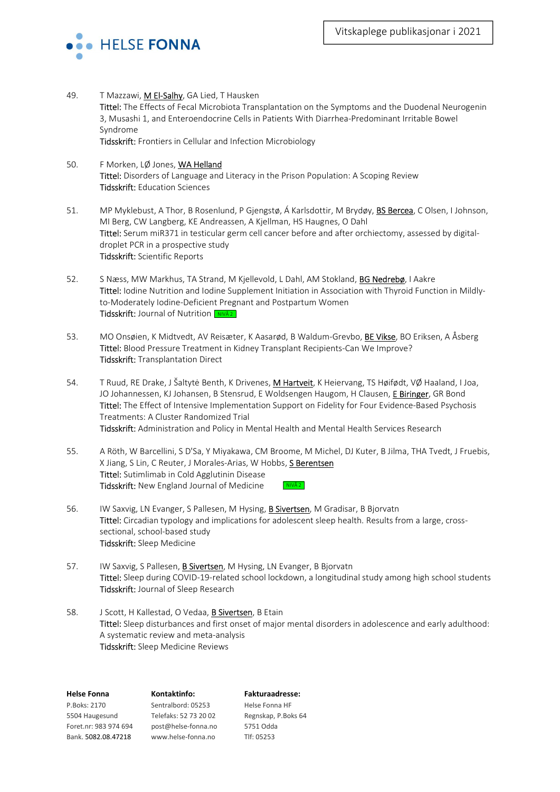

- 49. T Mazzawi, M El-Salhy, GA Lied, T Hausken Tittel: The Effects of Fecal Microbiota Transplantation on the Symptoms and the Duodenal Neurogenin 3, Musashi 1, and Enteroendocrine Cells in Patients With Diarrhea-Predominant Irritable Bowel Syndrome Tidsskrift: Frontiers in Cellular and Infection Microbiology
- 50. F Morken, LØ Jones, WA Helland Tittel: Disorders of Language and Literacy in the Prison Population: A Scoping Review Tidsskrift: Education Sciences
- 51. MP Myklebust, A Thor, B Rosenlund, P Gjengstø, Á Karlsdottir, M Brydøy, **BS Bercea**, C Olsen, I Johnson, MI Berg, CW Langberg, KE Andreassen, A Kjellman, HS Haugnes, O Dahl Tittel: Serum miR371 in testicular germ cell cancer before and after orchiectomy, assessed by digitaldroplet PCR in a prospective study Tidsskrift: Scientific Reports
- 52. S Næss, MW Markhus, TA Strand, M Kjellevold, L Dahl, AM Stokland, BG Nedrebø, I Aakre Tittel: Iodine Nutrition and Iodine Supplement Initiation in Association with Thyroid Function in Mildlyto-Moderately Iodine-Deficient Pregnant and Postpartum Women Tidsskrift: Journal of Nutrition **NIVA2**
- 53. MO Onsøien, K Midtvedt, AV Reisæter, K Aasarød, B Waldum-Grevbo, BE Vikse, BO Eriksen, A Åsberg Tittel: Blood Pressure Treatment in Kidney Transplant Recipients-Can We Improve? Tidsskrift: Transplantation Direct
- 54. T Ruud, RE Drake, J Šaltytė Benth, K Drivenes, M Hartveit, K Heiervang, TS Høifødt, VØ Haaland, I Joa, JO Johannessen, KJ Johansen, B Stensrud, E Woldsengen Haugom, H Clausen, E Biringer, GR Bond Tittel: The Effect of Intensive Implementation Support on Fidelity for Four Evidence-Based Psychosis Treatments: A Cluster Randomized Trial Tidsskrift: Administration and Policy in Mental Health and Mental Health Services Research
- 55. A Röth, W Barcellini, S D'Sa, Y Miyakawa, CM Broome, M Michel, DJ Kuter, B Jilma, THA Tvedt, J Fruebis, X Jiang, S Lin, C Reuter, J Morales-Arias, W Hobbs, S Berentsen Tittel: Sutimlimab in Cold Agglutinin Disease Tidsskrift: New England Journal of Medicine  $\overline{\phantom{a}}$  NIVÅ 2
- 56. IW Saxvig, LN Evanger, S Pallesen, M Hysing, B Sivertsen, M Gradisar, B Bjorvatn Tittel: Circadian typology and implications for adolescent sleep health. Results from a large, crosssectional, school-based study Tidsskrift: Sleep Medicine
- 57. IW Saxvig, S Pallesen, B Sivertsen, M Hysing, LN Evanger, B Bjorvatn Tittel: Sleep during COVID-19-related school lockdown, a longitudinal study among high school students Tidsskrift: Journal of Sleep Research
- 58. J Scott, H Kallestad, O Vedaa, B Sivertsen, B Etain Tittel: Sleep disturbances and first onset of major mental disorders in adolescence and early adulthood: A systematic review and meta-analysis Tidsskrift: Sleep Medicine Reviews

| <b>Helse Fonna</b>    | Kontaktinfo:          | <b>Fakturaadresse:</b> |
|-----------------------|-----------------------|------------------------|
| P.Boks: 2170          | Sentralbord: 05253    | Helse Fonna HF         |
| 5504 Haugesund        | Telefaks: 52 73 20 02 | Regnskap, P.Boks 64    |
| Foret.nr: 983 974 694 | post@helse-fonna.no   | 5751 Odda              |
| Bank. 5082.08.47218   | www.helse-fonna.no    | Tlf: 05253             |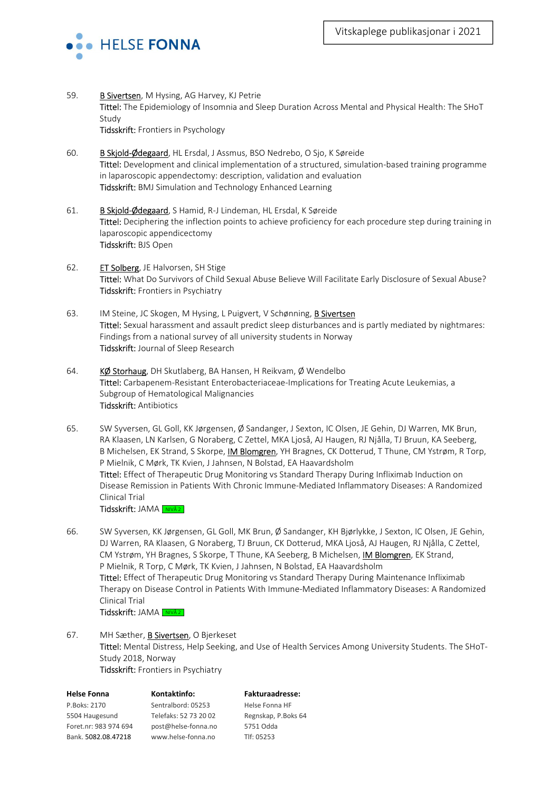

- 59. B Sivertsen, M Hysing, AG Harvey, KJ Petrie Tittel: The Epidemiology of Insomnia and Sleep Duration Across Mental and Physical Health: The SHoT Study Tidsskrift: Frontiers in Psychology
- 60. B Skjold-Ødegaard, HL Ersdal, J Assmus, BSO Nedrebo, O Sjo, K Søreide Tittel: Development and clinical implementation of a structured, simulation-based training programme in laparoscopic appendectomy: description, validation and evaluation Tidsskrift: BMJ Simulation and Technology Enhanced Learning
- 61. B Skjold-Ødegaard, S Hamid, R-J Lindeman, HL Ersdal, K Søreide Tittel: Deciphering the inflection points to achieve proficiency for each procedure step during training in laparoscopic appendicectomy Tidsskrift: BJS Open
- 62. **ET Solberg**, JE Halvorsen, SH Stige Tittel: What Do Survivors of Child Sexual Abuse Believe Will Facilitate Early Disclosure of Sexual Abuse? Tidsskrift: Frontiers in Psychiatry
- 63. IM Steine, JC Skogen, M Hysing, L Puigvert, V Schønning, B Sivertsen Tittel: Sexual harassment and assault predict sleep disturbances and is partly mediated by nightmares: Findings from a national survey of all university students in Norway Tidsskrift: Journal of Sleep Research
- 64. KØ Storhaug, DH Skutlaberg, BA Hansen, H Reikvam, Ø Wendelbo Tittel: Carbapenem-Resistant Enterobacteriaceae-Implications for Treating Acute Leukemias, a Subgroup of Hematological Malignancies Tidsskrift: Antibiotics
- 65. SW Syversen, GL Goll, KK Jørgensen, Ø Sandanger, J Sexton, IC Olsen, JE Gehin, DJ Warren, MK Brun, RA Klaasen, LN Karlsen, G Noraberg, C Zettel, MKA Ljoså, AJ Haugen, RJ Njålla, TJ Bruun, KA Seeberg, B Michelsen, EK Strand, S Skorpe, IM Blomgren, YH Bragnes, CK Dotterud, T Thune, CM Ystrøm, R Torp, P Mielnik, C Mørk, TK Kvien, J Jahnsen, N Bolstad, EA Haavardsholm Tittel: Effect of Therapeutic Drug Monitoring vs Standard Therapy During Infliximab Induction on Disease Remission in Patients With Chronic Immune-Mediated Inflammatory Diseases: A Randomized Clinical Trial Tidsskrift: JAMA <u>NIVÅ 2</u>
- 66. SW Syversen, KK Jørgensen, GL Goll, MK Brun, Ø Sandanger, KH Bjørlykke, J Sexton, IC Olsen, JE Gehin, DJ Warren, RA Klaasen, G Noraberg, TJ Bruun, CK Dotterud, MKA Ljoså, AJ Haugen, RJ Njålla, C Zettel, CM Ystrøm, YH Bragnes, S Skorpe, T Thune, KA Seeberg, B Michelsen, IM Blomgren, EK Strand, P Mielnik, R Torp, C Mørk, TK Kvien, J Jahnsen, N Bolstad, EA Haavardsholm Tittel: Effect of Therapeutic Drug Monitoring vs Standard Therapy During Maintenance Infliximab Therapy on Disease Control in Patients With Immune-Mediated Inflammatory Diseases: A Randomized Clinical Trial Tidsskrift: JAMA <mark>INIVÅ 2</mark>
- 67. MH Sæther, B Sivertsen, O Bjerkeset Tittel: Mental Distress, Help Seeking, and Use of Health Services Among University Students. The SHoT-Study 2018, Norway Tidsskrift: Frontiers in Psychiatry

| <b>Helse Fonna</b>    | Kontaktinfo:          | <b>Fakturaadresse:</b> |
|-----------------------|-----------------------|------------------------|
| P.Boks: 2170          | Sentralbord: 05253    | Helse Fonna HF         |
| 5504 Haugesund        | Telefaks: 52 73 20 02 | Regnskap, P.Boks 64    |
| Foret.nr: 983 974 694 | post@helse-fonna.no   | 5751 Odda              |
| Bank. 5082.08.47218   | www.helse-fonna.no    | Tlf: 05253             |